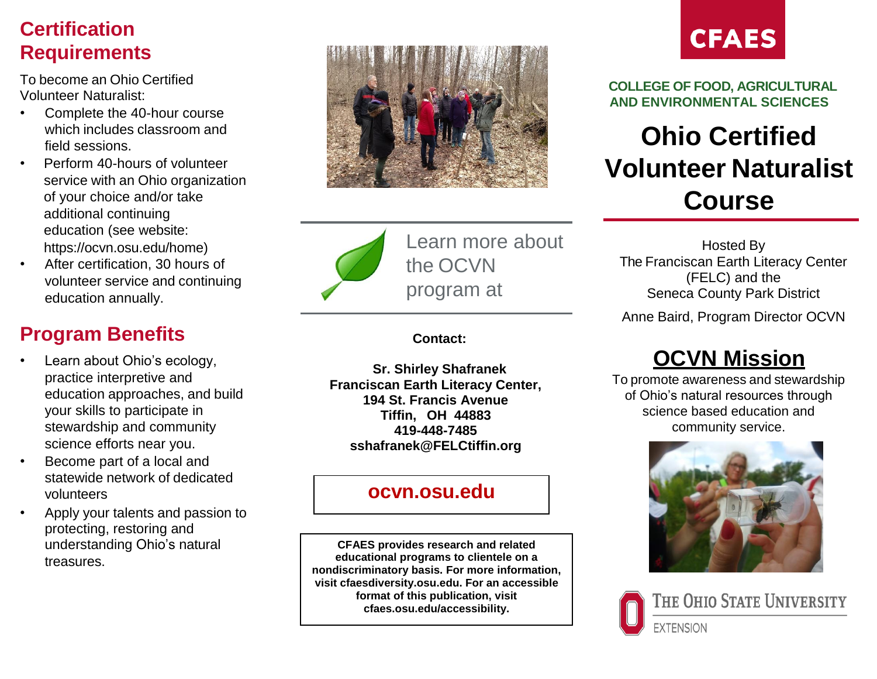### **Certification Requirements**

To become an Ohio Certified Volunteer Naturalist:

- Complete the 40-hour course which includes classroom and field sessions.
- Perform 40-hours of volunteer service with an Ohio organization of your choice and/or take additional continuing education (see website: https://ocvn.osu.edu/home)
- After certification, 30 hours of volunteer service and continuing education annually.

### **Program Benefits**

- Learn about Ohio's ecology, practice interpretive and education approaches, and build your skills to participate in stewardship and community science efforts near you.
- Become part of a local and statewide network of dedicated volunteers
- Apply your talents and passion to protecting, restoring and understanding Ohio's natural treasures.





Learn more about the OCVN program at

ocavia e al control de la control de la control de la control de la control de la control de la control de la<br>España

**Contact:**

**Sr. Shirley Shafranek Franciscan Earth Literacy Center, 194 St. Francis Avenue Tiffin, OH 44883 419-448-7485 sshafranek@FELCtiffin.org**

#### **ocvn.osu.edu**

**CFAES provides research and related educational programs to clientele on a nondiscriminatory basis. For more information, visit cfaesdiversity.osu.edu. For an accessible format of this publication, visit cfaes.osu.edu/accessibility.**

# **CFAES**

 **COLLEGE OF FOOD, AGRICULTURAL AND ENVIRONMENTAL SCIENCES**

## **Ohio Certified Volunteer Naturalist Course**

Hosted By The Franciscan Earth Literacy Center (FELC) and the Seneca County Park District

Anne Baird, Program Director OCVN

## **OCVN Mission**

To promote awareness and stewardship of Ohio's natural resources through science based education and community service.